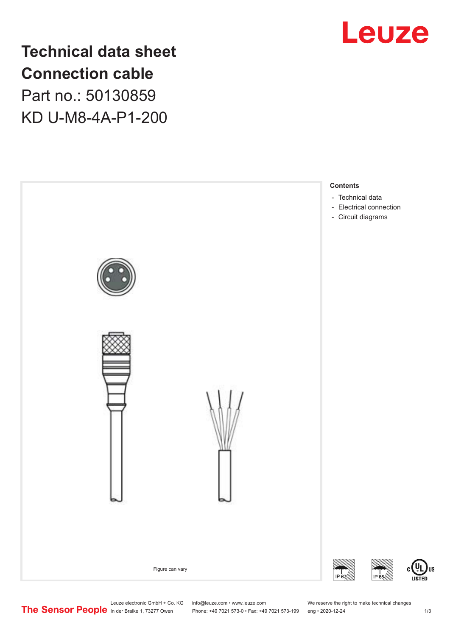

**Technical data sheet Connection cable** Part no.: 50130859 KD U-M8-4A-P1-200



Leuze electronic GmbH + Co. KG info@leuze.com • www.leuze.com We reserve the right to make technical changes<br>
The Sensor People in der Braike 1, 73277 Owen Phone: +49 7021 573-0 • Fax: +49 7021 573-199 eng • 2020-12-24

Phone: +49 7021 573-0 • Fax: +49 7021 573-199 eng • 2020-12-24 1 2020-12-24

US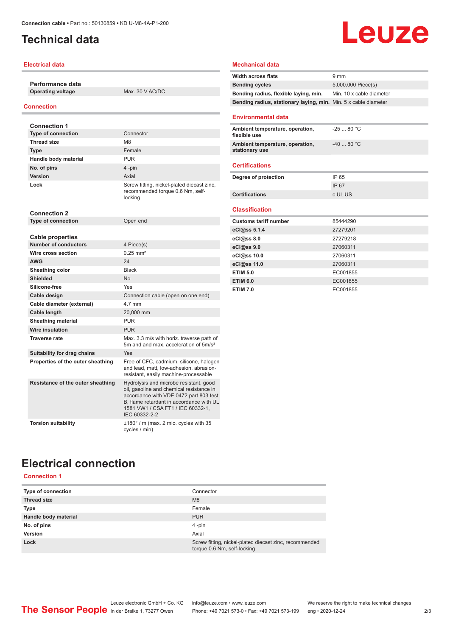## <span id="page-1-0"></span>**Technical data**

### **Electrical data**

**Performance data Operating voltage** Max. 30 V AC/DC

### **Connection**

| <b>Connection 1</b>               |                                                                                                                                                                                                                                |
|-----------------------------------|--------------------------------------------------------------------------------------------------------------------------------------------------------------------------------------------------------------------------------|
| <b>Type of connection</b>         | Connector                                                                                                                                                                                                                      |
| <b>Thread size</b>                | M <sub>8</sub>                                                                                                                                                                                                                 |
| <b>Type</b>                       | Female                                                                                                                                                                                                                         |
| Handle body material              | PUR                                                                                                                                                                                                                            |
| No. of pins                       | 4-pin                                                                                                                                                                                                                          |
| <b>Version</b>                    | Axial                                                                                                                                                                                                                          |
| Lock                              | Screw fitting, nickel-plated diecast zinc,<br>recommended torque 0.6 Nm, self-<br>locking                                                                                                                                      |
| <b>Connection 2</b>               |                                                                                                                                                                                                                                |
| <b>Type of connection</b>         | Open end                                                                                                                                                                                                                       |
| <b>Cable properties</b>           |                                                                                                                                                                                                                                |
| <b>Number of conductors</b>       | 4 Piece(s)                                                                                                                                                                                                                     |
| Wire cross section                | $0.25$ mm <sup>2</sup>                                                                                                                                                                                                         |
| <b>AWG</b>                        | 24                                                                                                                                                                                                                             |
| Sheathing color                   | <b>Black</b>                                                                                                                                                                                                                   |
| Shielded                          | No                                                                                                                                                                                                                             |
| Silicone-free                     | Yes                                                                                                                                                                                                                            |
| Cable design                      | Connection cable (open on one end)                                                                                                                                                                                             |
| Cable diameter (external)         | 4 7 mm                                                                                                                                                                                                                         |
| Cable length                      | 20,000 mm                                                                                                                                                                                                                      |
| <b>Sheathing material</b>         | <b>PUR</b>                                                                                                                                                                                                                     |
| Wire insulation                   | <b>PUR</b>                                                                                                                                                                                                                     |
| <b>Traverse rate</b>              | Max, 3.3 m/s with horiz, traverse path of<br>5m and and max, acceleration of 5m/s <sup>2</sup>                                                                                                                                 |
| Suitability for drag chains       | Yes                                                                                                                                                                                                                            |
| Properties of the outer sheathing | Free of CFC, cadmium, silicone, halogen<br>and lead, matt, low-adhesion, abrasion-<br>resistant, easily machine-processable                                                                                                    |
| Resistance of the outer sheathing | Hydrolysis and microbe resistant, good<br>oil, gasoline and chemical resistance in<br>accordance with VDE 0472 part 803 test<br>B. flame retardant in accordance with UL<br>1581 VW1 / CSA FT1 / IEC 60332-1,<br>IEC 60332-2-2 |
| <b>Torsion suitability</b>        | ±180° / m (max. 2 mio. cycles with 35<br>cycles / min)                                                                                                                                                                         |

### **Mechanical data**

| <b>Width across flats</b>                                       | 9 <sub>mm</sub>          |
|-----------------------------------------------------------------|--------------------------|
| <b>Bending cycles</b>                                           | 5,000,000 Piece(s)       |
| Bending radius, flexible laying, min.                           | Min. 10 x cable diameter |
| Bending radius, stationary laying, min. Min. 5 x cable diameter |                          |
|                                                                 |                          |
| <b>Environmental data</b>                                       |                          |
| Ambient temperature, operation,<br>flexible use                 | $-2580 °C$               |
| Ambient temperature, operation,<br>stationary use               | $-4080 °C$               |
| <b>Certifications</b>                                           |                          |
| Degree of protection                                            | IP 65                    |
|                                                                 | IP 67                    |
| <b>Certifications</b>                                           | c UL US                  |
|                                                                 |                          |
| <b>Classification</b>                                           |                          |
| <b>Customs tariff number</b>                                    | 85444290                 |
| eCl@ss 5.1.4                                                    | 27279201                 |
| eCl@ss 8.0                                                      | 27279218                 |
| eCl@ss 9.0                                                      | 27060311                 |
| eCl@ss 10.0                                                     | 27060311                 |
| eCl@ss 11.0                                                     | 27060311                 |
| <b>ETIM 5.0</b>                                                 | EC001855                 |
| <b>ETIM 6.0</b>                                                 | EC001855                 |
| <b>ETIM 7.0</b>                                                 | EC001855                 |

**Leuze** 

# **Electrical connection**

**Connection 1**

| Type of connection   | Connector                                                                             |
|----------------------|---------------------------------------------------------------------------------------|
| <b>Thread size</b>   | M <sub>8</sub>                                                                        |
| Type                 | Female                                                                                |
| Handle body material | <b>PUR</b>                                                                            |
| No. of pins          | $4$ -pin                                                                              |
| <b>Version</b>       | Axial                                                                                 |
| Lock                 | Screw fitting, nickel-plated diecast zinc, recommended<br>torque 0.6 Nm, self-locking |